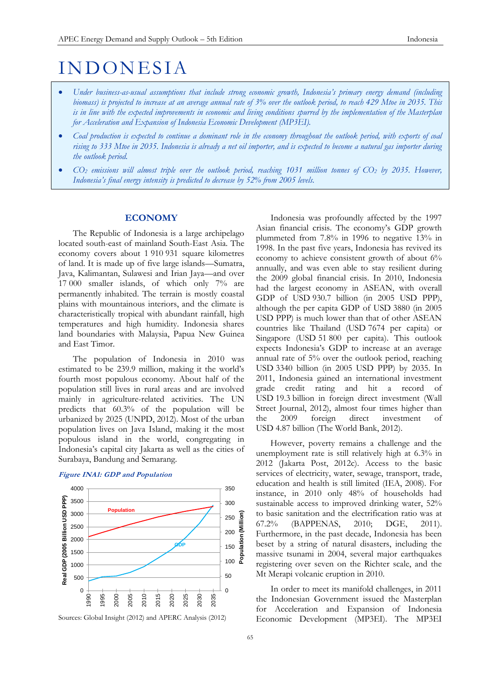# **INDONESIA**

- *Under business-as-usual assumptions that include strong economic growth, Indonesia's primary energy demand (including biomass) is projected to increase at an average annual rate of 3% over the outlook period, to reach 429 Mtoe in 2035. This is in line with the expected improvements in economic and living conditions spurred by the implementation of the Masterplan for Acceleration and Expansion of Indonesia Economic Development (MP3EI).*
- *Coal production is expected to continue a dominant role in the economy throughout the outlook period, with exports of coal rising to 333 Mtoe in 2035. Indonesia is already a net oil importer, and is expected to become a natural gas importer during the outlook period.*
- *CO<sup>2</sup> emissions will almost triple over the outlook period, reaching 1031 million tonnes of CO<sup>2</sup> by 2035. However, Indonesia's final energy intensity is predicted to decrease by 52% from 2005 levels.*

# **ECONOMY**

The Republic of Indonesia is a large archipelago located south-east of mainland South-East Asia. The economy covers about 1 910 931 square kilometres of land. It is made up of five large islands—Sumatra, Java, Kalimantan, Sulawesi and Irian Jaya—and over 17 000 smaller islands, of which only 7% are permanently inhabited. The terrain is mostly coastal plains with mountainous interiors, and the climate is characteristically tropical with abundant rainfall, high temperatures and high humidity. Indonesia shares land boundaries with Malaysia, Papua New Guinea and East Timor.

The population of Indonesia in 2010 was estimated to be 239.9 million, making it the world's fourth most populous economy. About half of the population still lives in rural areas and are involved mainly in agriculture-related activities. The UN predicts that 60.3% of the population will be urbanized by 2025 (UNPD, 2012). Most of the urban population lives on Java Island, making it the most populous island in the world, congregating in Indonesia's capital city Jakarta as well as the cities of Surabaya, Bandung and Semarang.



## **Figure INA1: GDP and Population**

Sources: Global Insight (2012) and APERC Analysis (2012)

Indonesia was profoundly affected by the 1997 Asian financial crisis. The economy's GDP growth plummeted from 7.8% in 1996 to negative 13% in 1998. In the past five years, Indonesia has revived its economy to achieve consistent growth of about 6% annually, and was even able to stay resilient during the 2009 global financial crisis. In 2010, Indonesia had the largest economy in ASEAN, with overall GDP of USD 930.7 billion (in 2005 USD PPP), although the per capita GDP of USD 3880 (in 2005 USD PPP) is much lower than that of other ASEAN countries like Thailand (USD 7674 per capita) or Singapore (USD 51 800 per capita). This outlook expects Indonesia's GDP to increase at an average annual rate of 5% over the outlook period, reaching USD 3340 billion (in 2005 USD PPP) by 2035. In 2011, Indonesia gained an international investment grade credit rating and hit a record of USD 19.3 billion in foreign direct investment (Wall Street Journal, 2012), almost four times higher than the 2009 foreign direct investment of USD 4.87 billion (The World Bank, 2012).

However, poverty remains a challenge and the unemployment rate is still relatively high at 6.3% in 2012 (Jakarta Post, 2012c). Access to the basic services of electricity, water, sewage, transport, trade, education and health is still limited (IEA, 2008). For instance, in 2010 only 48% of households had sustainable access to improved drinking water, 52% to basic sanitation and the electrification ratio was at 67.2% (BAPPENAS, 2010; DGE, 2011). Furthermore, in the past decade, Indonesia has been beset by a string of natural disasters, including the massive tsunami in 2004, several major earthquakes registering over seven on the Richter scale, and the Mt Merapi volcanic eruption in 2010.

In order to meet its manifold challenges, in 2011 the Indonesian Government issued the Masterplan for Acceleration and Expansion of Indonesia Economic Development (MP3EI). The MP3EI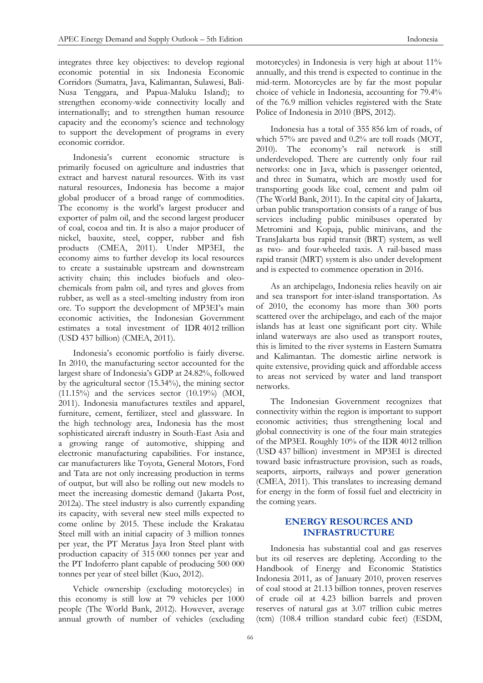integrates three key objectives: to develop regional economic potential in six Indonesia Economic Corridors (Sumatra, Java, Kalimantan, Sulawesi, Bali-Nusa Tenggara, and Papua-Maluku Island); to strengthen economy-wide connectivity locally and internationally; and to strengthen human resource capacity and the economy's science and technology to support the development of programs in every economic corridor.

Indonesia's current economic structure is primarily focused on agriculture and industries that extract and harvest natural resources. With its vast natural resources, Indonesia has become a major global producer of a broad range of commodities. The economy is the world's largest producer and exporter of palm oil, and the second largest producer of coal, cocoa and tin. It is also a major producer of nickel, bauxite, steel, copper, rubber and fish products (CMEA, 2011). Under MP3EI, the economy aims to further develop its local resources to create a sustainable upstream and downstream activity chain; this includes biofuels and oleochemicals from palm oil, and tyres and gloves from rubber, as well as a steel-smelting industry from iron ore. To support the development of MP3EI's main economic activities, the Indonesian Government estimates a total investment of IDR 4012 trillion (USD 437 billion) (CMEA, 2011).

Indonesia's economic portfolio is fairly diverse. In 2010, the manufacturing sector accounted for the largest share of Indonesia's GDP at 24.82%, followed by the agricultural sector (15.34%), the mining sector  $(11.15\%)$  and the services sector  $(10.19\%)$  (MOI, 2011). Indonesia manufactures textiles and apparel, furniture, cement, fertilizer, steel and glassware. In the high technology area, Indonesia has the most sophisticated aircraft industry in South-East Asia and a growing range of automotive, shipping and electronic manufacturing capabilities. For instance, car manufacturers like Toyota, General Motors, Ford and Tata are not only increasing production in terms of output, but will also be rolling out new models to meet the increasing domestic demand (Jakarta Post, 2012a). The steel industry is also currently expanding its capacity, with several new steel mills expected to come online by 2015. These include the Krakatau Steel mill with an initial capacity of 3 million tonnes per year, the PT Meratus Jaya Iron Steel plant with production capacity of 315 000 tonnes per year and the PT Indoferro plant capable of producing 500 000 tonnes per year of steel billet (Kuo, 2012).

Vehicle ownership (excluding motorcycles) in this economy is still low at 79 vehicles per 1000 people (The World Bank, 2012). However, average annual growth of number of vehicles (excluding motorcycles) in Indonesia is very high at about 11% annually, and this trend is expected to continue in the mid-term. Motorcycles are by far the most popular choice of vehicle in Indonesia, accounting for 79.4% of the 76.9 million vehicles registered with the State Police of Indonesia in 2010 (BPS, 2012).

Indonesia has a total of 355 856 km of roads, of which 57% are paved and 0.2% are toll roads (MOT, 2010). The economy's rail network is still underdeveloped. There are currently only four rail networks: one in Java, which is passenger oriented, and three in Sumatra, which are mostly used for transporting goods like coal, cement and palm oil (The World Bank, 2011). In the capital city of Jakarta, urban public transportation consists of a range of bus services including public minibuses operated by Metromini and Kopaja, public minivans, and the TransJakarta bus rapid transit (BRT) system, as well as two- and four-wheeled taxis. A rail-based mass rapid transit (MRT) system is also under development and is expected to commence operation in 2016.

As an archipelago, Indonesia relies heavily on air and sea transport for inter-island transportation. As of 2010, the economy has more than 300 ports scattered over the archipelago, and each of the major islands has at least one significant port city. While inland waterways are also used as transport routes, this is limited to the river systems in Eastern Sumatra and Kalimantan. The domestic airline network is quite extensive, providing quick and affordable access to areas not serviced by water and land transport networks.

The Indonesian Government recognizes that connectivity within the region is important to support economic activities; thus strengthening local and global connectivity is one of the four main strategies of the MP3EI. Roughly 10% of the IDR 4012 trillion (USD 437 billion) investment in MP3EI is directed toward basic infrastructure provision, such as roads, seaports, airports, railways and power generation (CMEA, 2011). This translates to increasing demand for energy in the form of fossil fuel and electricity in the coming years.

# **ENERGY RESOURCES AND INFRASTRUCTURE**

Indonesia has substantial coal and gas reserves but its oil reserves are depleting. According to the Handbook of Energy and Economic Statistics Indonesia 2011, as of January 2010, proven reserves of coal stood at 21.13 billion tonnes, proven reserves of crude oil at 4.23 billion barrels and proven reserves of natural gas at 3.07 trillion cubic metres (tcm) (108.4 trillion standard cubic feet) (ESDM,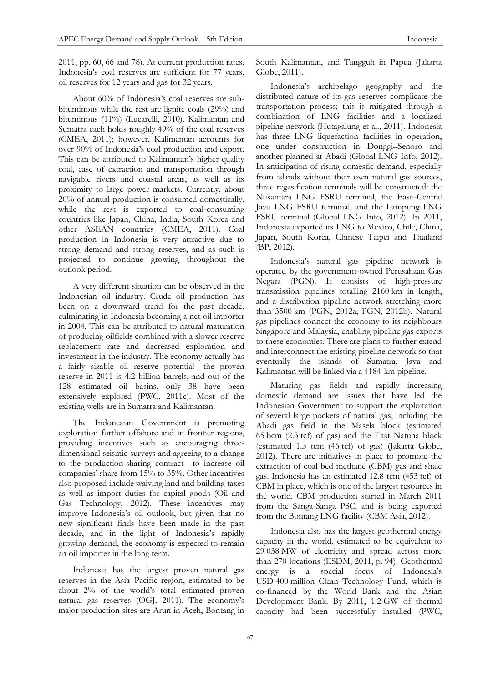2011, pp. 60, 66 and 78). At current production rates, Indonesia's coal reserves are sufficient for 77 years, oil reserves for 12 years and gas for 32 years.

About 60% of Indonesia's coal reserves are subbituminous while the rest are lignite coals (29%) and bituminous (11%) (Lucarelli, 2010). Kalimantan and Sumatra each holds roughly 49% of the coal reserves (CMEA, 2011); however, Kalimantan accounts for over 90% of Indonesia's coal production and export. This can be attributed to Kalimantan's higher quality coal, ease of extraction and transportation through navigable rivers and coastal areas, as well as its proximity to large power markets. Currently, about 20% of annual production is consumed domestically, while the rest is exported to coal-consuming countries like Japan, China, India, South Korea and other ASEAN countries (CMEA, 2011). Coal production in Indonesia is very attractive due to strong demand and strong reserves, and as such is projected to continue growing throughout the outlook period.

A very different situation can be observed in the Indonesian oil industry. Crude oil production has been on a downward trend for the past decade, culminating in Indonesia becoming a net oil importer in 2004. This can be attributed to natural maturation of producing oilfields combined with a slower reserve replacement rate and decreased exploration and investment in the industry. The economy actually has a fairly sizable oil reserve potential—the proven reserve in 2011 is 4.2 billion barrels, and out of the 128 estimated oil basins, only 38 have been extensively explored (PWC, 2011c). Most of the existing wells are in Sumatra and Kalimantan.

The Indonesian Government is promoting exploration further offshore and in frontier regions, providing incentives such as encouraging threedimensional seismic surveys and agreeing to a change to the production-sharing contract—to increase oil companies' share from 15% to 35%. Other incentives also proposed include waiving land and building taxes as well as import duties for capital goods (Oil and Gas Technology, 2012). These incentives may improve Indonesia's oil outlook, but given that no new significant finds have been made in the past decade, and in the light of Indonesia's rapidly growing demand, the economy is expected to remain an oil importer in the long term.

Indonesia has the largest proven natural gas reserves in the Asia–Pacific region, estimated to be about 2% of the world's total estimated proven natural gas reserves (OGJ, 2011). The economy's major production sites are Arun in Aceh, Bontang in

South Kalimantan, and Tangguh in Papua (Jakarta Globe, 2011).

Indonesia's archipelago geography and the distributed nature of its gas reserves complicate the transportation process; this is mitigated through a combination of LNG facilities and a localized pipeline network (Hutagalung et al., 2011). Indonesia has three LNG liquefaction facilities in operation, one under construction in Donggi–Senoro and another planned at Abadi (Global LNG Info, 2012). In anticipation of rising domestic demand, especially from islands without their own natural gas sources, three regasification terminals will be constructed: the Nusantara LNG FSRU terminal, the East–Central Java LNG FSRU terminal, and the Lampung LNG FSRU terminal (Global LNG Info, 2012). In 2011, Indonesia exported its LNG to Mexico, Chile, China, Japan, South Korea, Chinese Taipei and Thailand (BP, 2012).

Indonesia's natural gas pipeline network is operated by the government-owned Perusahaan Gas Negara (PGN). It consists of high-pressure transmission pipelines totalling 2160 km in length, and a distribution pipeline network stretching more than 3500 km (PGN, 2012a; PGN, 2012b). Natural gas pipelines connect the economy to its neighbours Singapore and Malaysia, enabling pipeline gas exports to these economies. There are plans to further extend and interconnect the existing pipeline network so that eventually the islands of Sumatra, Java and Kalimantan will be linked via a 4184-km pipeline.

Maturing gas fields and rapidly increasing domestic demand are issues that have led the Indonesian Government to support the exploitation of several large pockets of natural gas, including the Abadi gas field in the Masela block (estimated 65 bcm (2.3 tcf) of gas) and the East Natuna block (estimated 1.3 tcm (46 tcf) of gas) (Jakarta Globe, 2012). There are initiatives in place to promote the extraction of coal bed methane (CBM) gas and shale gas. Indonesia has an estimated 12.8 tcm (453 tcf) of CBM in place, which is one of the largest resources in the world. CBM production started in March 2011 from the Sanga-Sanga PSC, and is being exported from the Bontang LNG facility (CBM Asia, 2012).

Indonesia also has the largest geothermal energy capacity in the world, estimated to be equivalent to 29 038 MW of electricity and spread across more than 270 locations (ESDM, 2011, p. 94). Geothermal energy is a special focus of Indonesia's USD 400 million Clean Technology Fund, which is co-financed by the World Bank and the Asian Development Bank. By 2011, 1.2 GW of thermal capacity had been successfully installed (PWC,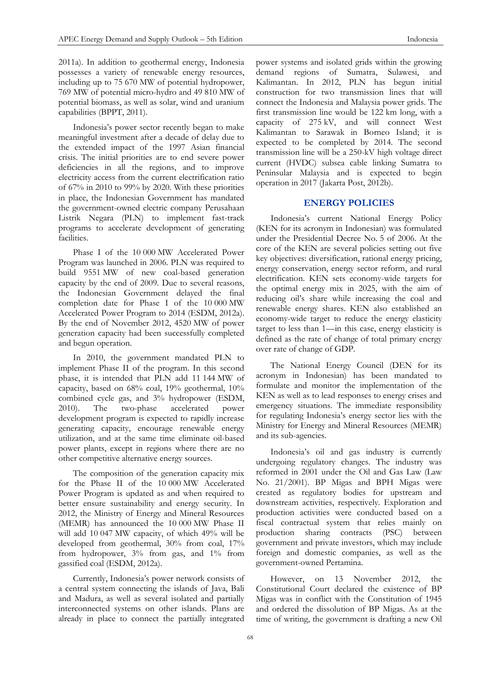Indonesia's power sector recently began to make meaningful investment after a decade of delay due to the extended impact of the 1997 Asian financial crisis. The initial priorities are to end severe power deficiencies in all the regions, and to improve electricity access from the current electrification ratio of 67% in 2010 to 99% by 2020. With these priorities in place, the Indonesian Government has mandated the government-owned electric company Perusahaan Listrik Negara (PLN) to implement fast-track programs to accelerate development of generating facilities.

Phase I of the 10 000 MW Accelerated Power Program was launched in 2006. PLN was required to build 9551 MW of new coal-based generation capacity by the end of 2009. Due to several reasons, the Indonesian Government delayed the final completion date for Phase I of the 10 000 MW Accelerated Power Program to 2014 (ESDM, 2012a). By the end of November 2012, 4520 MW of power generation capacity had been successfully completed and begun operation.

In 2010, the government mandated PLN to implement Phase II of the program. In this second phase, it is intended that PLN add 11 144 MW of capacity, based on 68% coal, 19% geothermal, 10% combined cycle gas, and 3% hydropower (ESDM, 2010). The two-phase accelerated power development program is expected to rapidly increase generating capacity, encourage renewable energy utilization, and at the same time eliminate oil-based power plants, except in regions where there are no other competitive alternative energy sources.

The composition of the generation capacity mix for the Phase II of the 10 000 MW Accelerated Power Program is updated as and when required to better ensure sustainability and energy security. In 2012, the Ministry of Energy and Mineral Resources (MEMR) has announced the 10 000 MW Phase II will add 10 047 MW capacity, of which 49% will be developed from geothermal, 30% from coal, 17% from hydropower, 3% from gas, and 1% from gassified coal (ESDM, 2012a).

Currently, Indonesia's power network consists of a central system connecting the islands of Java, Bali and Madura, as well as several isolated and partially interconnected systems on other islands. Plans are already in place to connect the partially integrated

power systems and isolated grids within the growing demand regions of Sumatra, Sulawesi, and Kalimantan. In 2012, PLN has begun initial construction for two transmission lines that will connect the Indonesia and Malaysia power grids. The first transmission line would be 122 km long, with a capacity of 275 kV, and will connect West Kalimantan to Sarawak in Borneo Island; it is expected to be completed by 2014. The second transmission line will be a 250-kV high voltage direct current (HVDC) subsea cable linking Sumatra to Peninsular Malaysia and is expected to begin operation in 2017 (Jakarta Post, 2012b).

# **ENERGY POLICIES**

Indonesia's current National Energy Policy (KEN for its acronym in Indonesian) was formulated under the Presidential Decree No. 5 of 2006. At the core of the KEN are several policies setting out five key objectives: diversification, rational energy pricing, energy conservation, energy sector reform, and rural electrification. KEN sets economy-wide targets for the optimal energy mix in 2025, with the aim of reducing oil's share while increasing the coal and renewable energy shares. KEN also established an economy-wide target to reduce the energy elasticity target to less than 1—in this case, energy elasticity is defined as the rate of change of total primary energy over rate of change of GDP.

The National Energy Council (DEN for its acronym in Indonesian) has been mandated to formulate and monitor the implementation of the KEN as well as to lead responses to energy crises and emergency situations. The immediate responsibility for regulating Indonesia's energy sector lies with the Ministry for Energy and Mineral Resources (MEMR) and its sub-agencies.

Indonesia's oil and gas industry is currently undergoing regulatory changes. The industry was reformed in 2001 under the Oil and Gas Law (Law No. 21/2001). BP Migas and BPH Migas were created as regulatory bodies for upstream and downstream activities, respectively. Exploration and production activities were conducted based on a fiscal contractual system that relies mainly on production sharing contracts (PSC) between government and private investors, which may include foreign and domestic companies, as well as the government-owned Pertamina.

However, on 13 November 2012, the Constitutional Court declared the existence of BP Migas was in conflict with the Constitution of 1945 and ordered the dissolution of BP Migas. As at the time of writing, the government is drafting a new Oil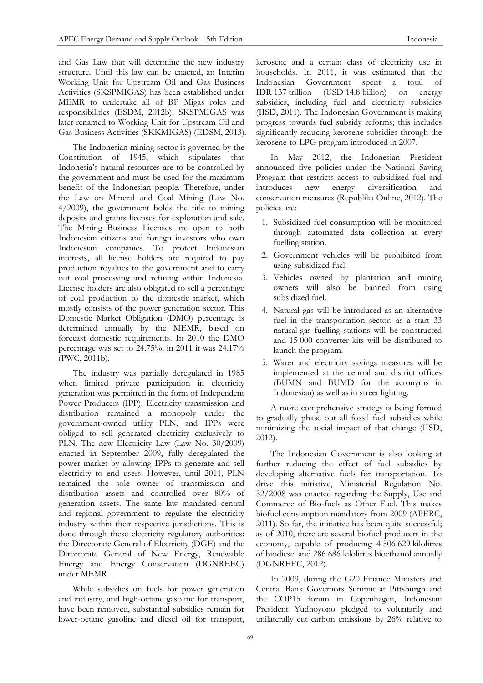and Gas Law that will determine the new industry structure. Until this law can be enacted, an Interim Working Unit for Upstream Oil and Gas Business Activities (SKSPMIGAS) has been established under MEMR to undertake all of BP Migas roles and responsibilities (ESDM, 2012b). SKSPMIGAS was later renamed to Working Unit for Upstream Oil and Gas Business Activities (SKKMIGAS) (EDSM, 2013).

The Indonesian mining sector is governed by the Constitution of 1945, which stipulates that Indonesia's natural resources are to be controlled by the government and must be used for the maximum benefit of the Indonesian people. Therefore, under the Law on Mineral and Coal Mining (Law No. 4/2009), the government holds the title to mining deposits and grants licenses for exploration and sale. The Mining Business Licenses are open to both Indonesian citizens and foreign investors who own Indonesian companies. To protect Indonesian interests, all license holders are required to pay production royalties to the government and to carry out coal processing and refining within Indonesia. License holders are also obligated to sell a percentage of coal production to the domestic market, which mostly consists of the power generation sector. This Domestic Market Obligation (DMO) percentage is determined annually by the MEMR, based on forecast domestic requirements. In 2010 the DMO percentage was set to 24.75%; in 2011 it was 24.17% (PWC, 2011b).

The industry was partially deregulated in 1985 when limited private participation in electricity generation was permitted in the form of Independent Power Producers (IPP). Electricity transmission and distribution remained a monopoly under the government-owned utility PLN, and IPPs were obliged to sell generated electricity exclusively to PLN. The new Electricity Law (Law No. 30/2009) enacted in September 2009, fully deregulated the power market by allowing IPPs to generate and sell electricity to end users. However, until 2011, PLN remained the sole owner of transmission and distribution assets and controlled over 80% of generation assets. The same law mandated central and regional government to regulate the electricity industry within their respective jurisdictions. This is done through these electricity regulatory authorities: the Directorate General of Electricity (DGE) and the Directorate General of New Energy, Renewable Energy and Energy Conservation (DGNREEC) under MEMR.

While subsidies on fuels for power generation and industry, and high-octane gasoline for transport, have been removed, substantial subsidies remain for lower-octane gasoline and diesel oil for transport,

kerosene and a certain class of electricity use in households. In 2011, it was estimated that the Indonesian Government spent a total of IDR 137 trillion (USD 14.8 billion) on energy subsidies, including fuel and electricity subsidies (IISD, 2011). The Indonesian Government is making progress towards fuel subsidy reforms; this includes significantly reducing kerosene subsidies through the kerosene-to-LPG program introduced in 2007.

In May 2012, the Indonesian President announced five policies under the National Saving Program that restricts access to subsidized fuel and introduces new energy diversification and conservation measures (Republika Online, 2012). The policies are:

- 1. Subsidized fuel consumption will be monitored through automated data collection at every fuelling station.
- 2. Government vehicles will be prohibited from using subsidized fuel.
- 3. Vehicles owned by plantation and mining owners will also be banned from using subsidized fuel.
- 4. Natural gas will be introduced as an alternative fuel in the transportation sector; as a start 33 natural-gas fuelling stations will be constructed and 15 000 converter kits will be distributed to launch the program.
- 5. Water and electricity savings measures will be implemented at the central and district offices (BUMN and BUMD for the acronyms in Indonesian) as well as in street lighting.

A more comprehensive strategy is being formed to gradually phase out all fossil fuel subsidies while minimizing the social impact of that change (IISD, 2012).

The Indonesian Government is also looking at further reducing the effect of fuel subsidies by developing alternative fuels for transportation. To drive this initiative, Ministerial Regulation No. 32/2008 was enacted regarding the Supply, Use and Commerce of Bio-fuels as Other Fuel. This makes biofuel consumption mandatory from 2009 (APERC, 2011). So far, the initiative has been quite successful; as of 2010, there are several biofuel producers in the economy, capable of producing 4 506 629 kilolitres of biodiesel and 286 686 kilolitres bioethanol annually (DGNREEC, 2012).

In 2009, during the G20 Finance Ministers and Central Bank Governors Summit at Pittsburgh and the COP15 forum in Copenhagen, Indonesian President Yudhoyono pledged to voluntarily and unilaterally cut carbon emissions by 26% relative to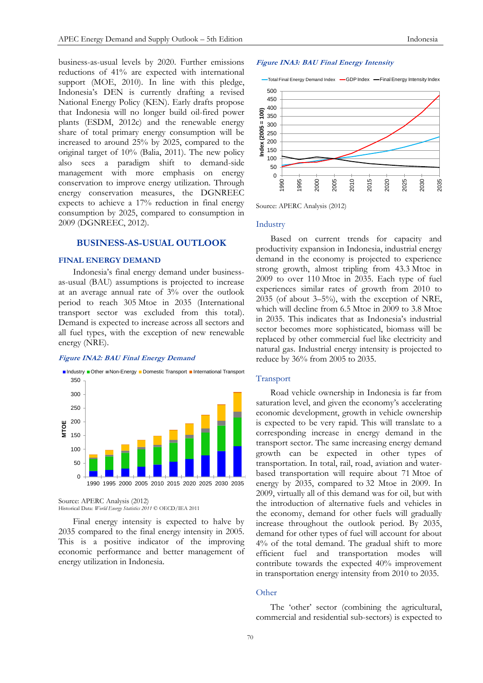business-as-usual levels by 2020. Further emissions reductions of 41% are expected with international support (MOE, 2010). In line with this pledge, Indonesia's DEN is currently drafting a revised National Energy Policy (KEN). Early drafts propose that Indonesia will no longer build oil-fired power plants (ESDM, 2012c) and the renewable energy share of total primary energy consumption will be increased to around 25% by 2025, compared to the original target of 10% (Balia, 2011). The new policy also sees a paradigm shift to demand-side management with more emphasis on energy conservation to improve energy utilization. Through energy conservation measures, the DGNREEC expects to achieve a 17% reduction in final energy consumption by 2025, compared to consumption in 2009 (DGNREEC, 2012).

# **BUSINESS-AS-USUAL OUTLOOK**

## **FINAL ENERGY DEMAND**

Indonesia's final energy demand under businessas-usual (BAU) assumptions is projected to increase at an average annual rate of 3% over the outlook period to reach 305 Mtoe in 2035 (International transport sector was excluded from this total). Demand is expected to increase across all sectors and all fuel types, with the exception of new renewable energy (NRE).

#### **Figure INA2: BAU Final Energy Demand**



Source: APERC Analysis (2012)

Historical Data: *World Energy Statistics 2011* © OECD/IEA 2011

Final energy intensity is expected to halve by 2035 compared to the final energy intensity in 2005. This is a positive indicator of the improving economic performance and better management of energy utilization in Indonesia.

#### **Figure INA3: BAU Final Energy Intensity**



Source: APERC Analysis (2012)

#### Industry

Based on current trends for capacity and productivity expansion in Indonesia, industrial energy demand in the economy is projected to experience strong growth, almost tripling from 43.3 Mtoe in 2009 to over 110 Mtoe in 2035. Each type of fuel experiences similar rates of growth from 2010 to 2035 (of about 3–5%), with the exception of NRE, which will decline from 6.5 Mtoe in 2009 to 3.8 Mtoe in 2035. This indicates that as Indonesia's industrial sector becomes more sophisticated, biomass will be replaced by other commercial fuel like electricity and natural gas. Industrial energy intensity is projected to reduce by 36% from 2005 to 2035.

#### Transport

Road vehicle ownership in Indonesia is far from saturation level, and given the economy's accelerating economic development, growth in vehicle ownership is expected to be very rapid. This will translate to a corresponding increase in energy demand in the transport sector. The same increasing energy demand growth can be expected in other types of transportation. In total, rail, road, aviation and waterbased transportation will require about 71 Mtoe of energy by 2035, compared to 32 Mtoe in 2009. In 2009, virtually all of this demand was for oil, but with the introduction of alternative fuels and vehicles in the economy, demand for other fuels will gradually increase throughout the outlook period. By 2035, demand for other types of fuel will account for about 4% of the total demand. The gradual shift to more efficient fuel and transportation modes will contribute towards the expected 40% improvement in transportation energy intensity from 2010 to 2035.

#### **Other**

The 'other' sector (combining the agricultural, commercial and residential sub-sectors) is expected to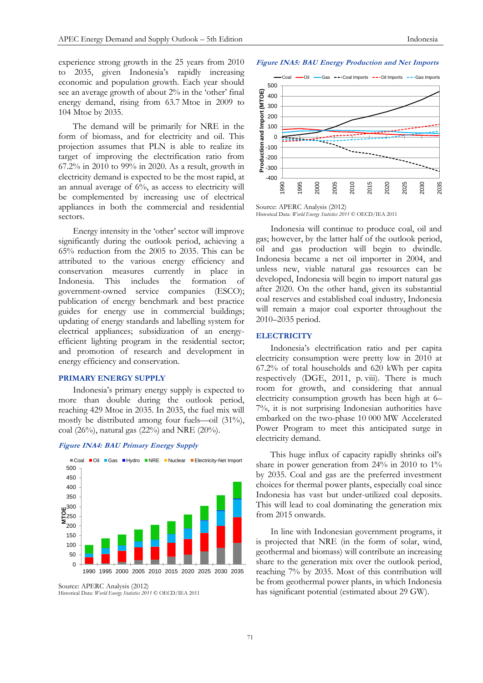**Figure INA5: BAU Energy Production and Net Imports**

experience strong growth in the 25 years from 2010 to 2035, given Indonesia's rapidly increasing economic and population growth. Each year should see an average growth of about 2% in the 'other' final energy demand, rising from 63.7 Mtoe in 2009 to 104 Mtoe by 2035.

The demand will be primarily for NRE in the form of biomass, and for electricity and oil. This projection assumes that PLN is able to realize its target of improving the electrification ratio from 67.2% in 2010 to 99% in 2020. As a result, growth in electricity demand is expected to be the most rapid, at an annual average of 6%, as access to electricity will be complemented by increasing use of electrical appliances in both the commercial and residential sectors.

Energy intensity in the 'other' sector will improve significantly during the outlook period, achieving a 65% reduction from the 2005 to 2035. This can be attributed to the various energy efficiency and conservation measures currently in place in Indonesia. This includes the formation of government-owned service companies (ESCO); publication of energy benchmark and best practice guides for energy use in commercial buildings; updating of energy standards and labelling system for electrical appliances; subsidization of an energyefficient lighting program in the residential sector; and promotion of research and development in energy efficiency and conservation.

# **PRIMARY ENERGY SUPPLY**

Indonesia's primary energy supply is expected to more than double during the outlook period, reaching 429 Mtoe in 2035. In 2035, the fuel mix will mostly be distributed among four fuels—oil (31%), coal (26%), natural gas (22%) and NRE (20%).





Source: APERC Analysis (2012) Historical Data: *World Energy Statistics 2011* © OECD/IEA 2011



Source: APERC Analysis (2012) Historical Data: *World Energy Statistics 2011* © OECD/IEA 2011

Indonesia will continue to produce coal, oil and gas; however, by the latter half of the outlook period, oil and gas production will begin to dwindle. Indonesia became a net oil importer in 2004, and unless new, viable natural gas resources can be developed, Indonesia will begin to import natural gas after 2020. On the other hand, given its substantial coal reserves and established coal industry, Indonesia will remain a major coal exporter throughout the 2010–2035 period.

## **ELECTRICITY**

Indonesia's electrification ratio and per capita electricity consumption were pretty low in 2010 at 67.2% of total households and 620 kWh per capita respectively (DGE, 2011, p. viii). There is much room for growth, and considering that annual electricity consumption growth has been high at 6– 7%, it is not surprising Indonesian authorities have embarked on the two-phase 10 000 MW Accelerated Power Program to meet this anticipated surge in electricity demand.

This huge influx of capacity rapidly shrinks oil's share in power generation from 24% in 2010 to 1% by 2035. Coal and gas are the preferred investment choices for thermal power plants, especially coal since Indonesia has vast but under-utilized coal deposits. This will lead to coal dominating the generation mix from 2015 onwards.

In line with Indonesian government programs, it is projected that NRE (in the form of solar, wind, geothermal and biomass) will contribute an increasing share to the generation mix over the outlook period, reaching 7% by 2035. Most of this contribution will be from geothermal power plants, in which Indonesia has significant potential (estimated about 29 GW).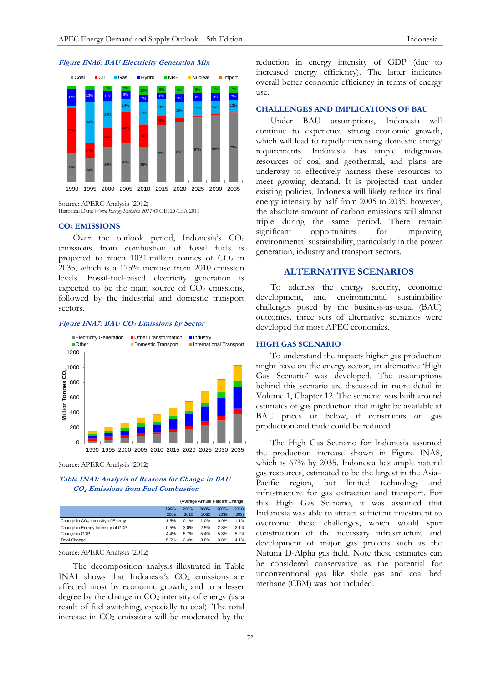



# **CO<sup>2</sup> EMISSIONS**

Over the outlook period, Indonesia's  $CO<sub>2</sub>$ emissions from combustion of fossil fuels is projected to reach 1031 million tonnes of  $CO<sub>2</sub>$  in 2035, which is a 175% increase from 2010 emission levels. Fossil-fuel-based electricity generation is expected to be the main source of  $CO<sub>2</sub>$  emissions, followed by the industrial and domestic transport sectors.

## **Figure INA7: BAU CO<sup>2</sup> Emissions by Sector**



Source: APERC Analysis (2012)

## **Table INA1: Analysis of Reasons for Change in BAU CO2 Emissions from Fuel Combustion**

|                                               | (Average Annual Percent Change) |          |          |          |          |
|-----------------------------------------------|---------------------------------|----------|----------|----------|----------|
|                                               | $1990-$                         | $2005 -$ | $2005 -$ | $2005 -$ | $2010 -$ |
|                                               | 2005                            | 2010     | 2030     | 2035     | 2035     |
| Change in CO <sub>2</sub> Intensity of Energy | 1.5%                            | $-0.1%$  | 1.0%     | 0.9%     | 1.1%     |
| Change in Energy Intensity of GDP             | $-0.5%$                         | $-3.0%$  | $-2.5%$  | $-2.3%$  | $-2.1%$  |
| Change in GDP                                 | 4.4%                            | 5.7%     | 5.4%     | 5.3%     | 5.2%     |
| <b>Total Change</b>                           | 5.5%                            | 2.4%     | 3.8%     | 3.8%     | 4.1%     |

Source: APERC Analysis (2012)

The decomposition analysis illustrated in Table INA1 shows that Indonesia's  $CO<sub>2</sub>$  emissions are affected most by economic growth, and to a lesser degree by the change in  $CO<sub>2</sub>$  intensity of energy (as a result of fuel switching, especially to coal). The total increase in  $CO<sub>2</sub>$  emissions will be moderated by the

reduction in energy intensity of GDP (due to increased energy efficiency). The latter indicates overall better economic efficiency in terms of energy use.

#### **CHALLENGES AND IMPLICATIONS OF BAU**

Under BAU assumptions, Indonesia will continue to experience strong economic growth, which will lead to rapidly increasing domestic energy requirements. Indonesia has ample indigenous resources of coal and geothermal, and plans are underway to effectively harness these resources to meet growing demand. It is projected that under existing policies, Indonesia will likely reduce its final energy intensity by half from 2005 to 2035; however, the absolute amount of carbon emissions will almost triple during the same period. There remain significant opportunities for improving environmental sustainability, particularly in the power generation, industry and transport sectors.

# **ALTERNATIVE SCENARIOS**

To address the energy security, economic development, and environmental sustainability challenges posed by the business-as-usual (BAU) outcomes, three sets of alternative scenarios were developed for most APEC economies.

# **HIGH GAS SCENARIO**

To understand the impacts higher gas production might have on the energy sector, an alternative 'High Gas Scenario' was developed. The assumptions behind this scenario are discussed in more detail in Volume 1, Chapter 12. The scenario was built around estimates of gas production that might be available at BAU prices or below, if constraints on gas production and trade could be reduced.

The High Gas Scenario for Indonesia assumed the production increase shown in Figure INA8, which is 67% by 2035. Indonesia has ample natural gas resources, estimated to be the largest in the Asia– Pacific region, but limited technology and infrastructure for gas extraction and transport. For this High Gas Scenario, it was assumed that Indonesia was able to attract sufficient investment to overcome these challenges, which would spur construction of the necessary infrastructure and development of major gas projects such as the Natuna D-Alpha gas field. Note these estimates can be considered conservative as the potential for unconventional gas like shale gas and coal bed methane (CBM) was not included.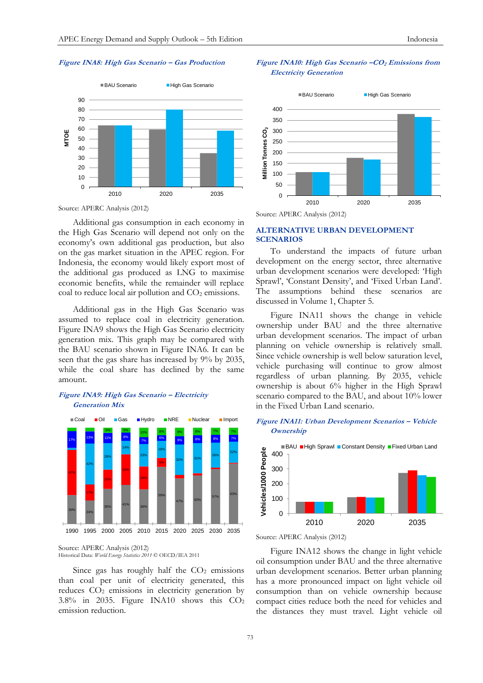#### **Figure INA8: High Gas Scenario – Gas Production**



Source: APERC Analysis (2012)

Additional gas consumption in each economy in the High Gas Scenario will depend not only on the economy's own additional gas production, but also on the gas market situation in the APEC region. For Indonesia, the economy would likely export most of the additional gas produced as LNG to maximise economic benefits, while the remainder will replace coal to reduce local air pollution and  $CO<sub>2</sub>$  emissions.

Additional gas in the High Gas Scenario was assumed to replace coal in electricity generation. Figure INA9 shows the High Gas Scenario electricity generation mix. This graph may be compared with the BAU scenario shown in Figure INA6. It can be seen that the gas share has increased by 9% by 2035, while the coal share has declined by the same amount.

# **Figure INA9: High Gas Scenario – Electricity Generation Mix**



Source: APERC Analysis (2012) Historical Data: *World Energy Statistics 2011* © OECD/IEA 2011

Since gas has roughly half the  $CO<sub>2</sub>$  emissions than coal per unit of electricity generated, this reduces CO<sub>2</sub> emissions in electricity generation by 3.8% in 2035. Figure INA10 shows this CO<sup>2</sup> emission reduction.

# **Figure INA10: High Gas Scenario –CO<sup>2</sup> Emissions from Electricity Generation**



## **ALTERNATIVE URBAN DEVELOPMENT SCENARIOS**

To understand the impacts of future urban development on the energy sector, three alternative urban development scenarios were developed: 'High Sprawl', 'Constant Density', and 'Fixed Urban Land'. The assumptions behind these scenarios are discussed in Volume 1, Chapter 5.

Figure INA11 shows the change in vehicle ownership under BAU and the three alternative urban development scenarios. The impact of urban planning on vehicle ownership is relatively small. Since vehicle ownership is well below saturation level, vehicle purchasing will continue to grow almost regardless of urban planning. By 2035, vehicle ownership is about 6% higher in the High Sprawl scenario compared to the BAU, and about 10% lower in the Fixed Urban Land scenario.

# **Figure INA11: Urban Development Scenarios – Vehicle Ownership**





Figure INA12 shows the change in light vehicle oil consumption under BAU and the three alternative urban development scenarios. Better urban planning has a more pronounced impact on light vehicle oil consumption than on vehicle ownership because compact cities reduce both the need for vehicles and the distances they must travel. Light vehicle oil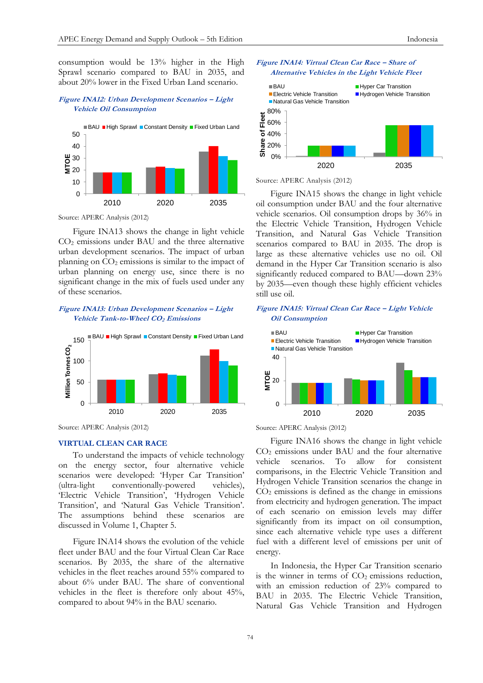consumption would be 13% higher in the High Sprawl scenario compared to BAU in 2035, and about 20% lower in the Fixed Urban Land scenario.

## **Figure INA12: Urban Development Scenarios – Light Vehicle Oil Consumption**



Source: APERC Analysis (2012)

Figure INA13 shows the change in light vehicle CO<sup>2</sup> emissions under BAU and the three alternative urban development scenarios. The impact of urban planning on  $CO<sub>2</sub>$  emissions is similar to the impact of urban planning on energy use, since there is no significant change in the mix of fuels used under any of these scenarios.

# **Figure INA13: Urban Development Scenarios – Light Vehicle Tank-to-Wheel CO2 Emissions**



Source: APERC Analysis (2012)

# **VIRTUAL CLEAN CAR RACE**

To understand the impacts of vehicle technology on the energy sector, four alternative vehicle scenarios were developed: 'Hyper Car Transition' (ultra-light conventionally-powered vehicles), 'Electric Vehicle Transition', 'Hydrogen Vehicle Transition', and 'Natural Gas Vehicle Transition'. The assumptions behind these scenarios are discussed in Volume 1, Chapter 5.

Figure INA14 shows the evolution of the vehicle fleet under BAU and the four Virtual Clean Car Race scenarios. By 2035, the share of the alternative vehicles in the fleet reaches around 55% compared to about 6% under BAU. The share of conventional vehicles in the fleet is therefore only about 45%, compared to about 94% in the BAU scenario.





Source: APERC Analysis (2012)

Figure INA15 shows the change in light vehicle oil consumption under BAU and the four alternative vehicle scenarios. Oil consumption drops by 36% in the Electric Vehicle Transition, Hydrogen Vehicle Transition, and Natural Gas Vehicle Transition scenarios compared to BAU in 2035. The drop is large as these alternative vehicles use no oil. Oil demand in the Hyper Car Transition scenario is also significantly reduced compared to BAU—down 23% by 2035—even though these highly efficient vehicles still use oil.

## **Figure INA15: Virtual Clean Car Race – Light Vehicle Oil Consumption**



Source: APERC Analysis (2012)

Figure INA16 shows the change in light vehicle CO<sup>2</sup> emissions under BAU and the four alternative vehicle scenarios. To allow for consistent comparisons, in the Electric Vehicle Transition and Hydrogen Vehicle Transition scenarios the change in  $CO<sub>2</sub>$  emissions is defined as the change in emissions from electricity and hydrogen generation. The impact of each scenario on emission levels may differ significantly from its impact on oil consumption, since each alternative vehicle type uses a different fuel with a different level of emissions per unit of energy.

In Indonesia, the Hyper Car Transition scenario is the winner in terms of  $CO<sub>2</sub>$  emissions reduction, with an emission reduction of 23% compared to BAU in 2035. The Electric Vehicle Transition, Natural Gas Vehicle Transition and Hydrogen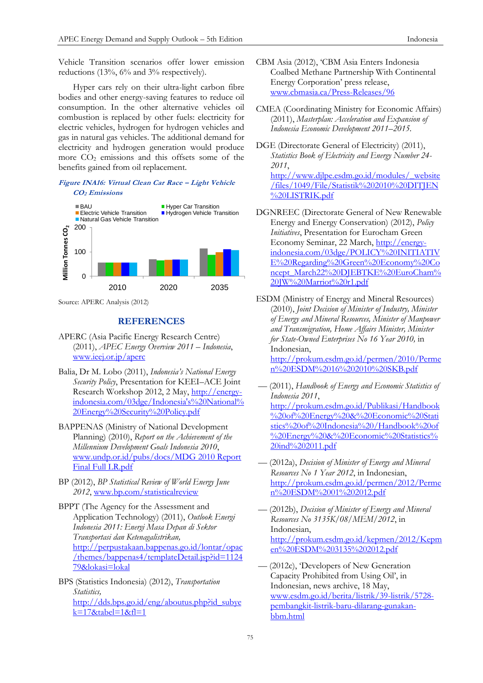Vehicle Transition scenarios offer lower emission reductions (13%, 6% and 3% respectively).

Hyper cars rely on their ultra-light carbon fibre bodies and other energy-saving features to reduce oil consumption. In the other alternative vehicles oil combustion is replaced by other fuels: electricity for electric vehicles, hydrogen for hydrogen vehicles and gas in natural gas vehicles. The additional demand for electricity and hydrogen generation would produce more CO<sup>2</sup> emissions and this offsets some of the benefits gained from oil replacement.

# **Figure INA16: Virtual Clean Car Race – Light Vehicle CO2 Emissions**



Source: APERC Analysis (2012)

# **REFERENCES**

- APERC (Asia Pacific Energy Research Centre) (2011), *APEC Energy Overview 2011 – Indonesia*, [www.ieej.or.jp/aperc](http://www.ieej.or.jp/aperc)
- Balia, Dr M. Lobo (2011), *Indonesia's National Energy Security Policy*, Presentation for KEEI–ACE Joint Research Workshop 2012, 2 May, [http://energy](http://energy-indonesia.com/03dge/Indonesia)[indonesia.com/03dge/Indonesia's%20National%](http://energy-indonesia.com/03dge/Indonesia) [20Energy%20Security%20Policy.pdf](http://energy-indonesia.com/03dge/Indonesia)
- BAPPENAS (Ministry of National Development Planning) (2010), *Report on the Achievement of the Millennium Development Goals Indonesia 2010*, [www.undp.or.id/pubs/docs/MDG 2010 Report](http://www.undp.or.id/pubs/docs/MDG%202010%20Report%20Final%20Full%20LR.pdf)  [Final Full LR.pdf](http://www.undp.or.id/pubs/docs/MDG%202010%20Report%20Final%20Full%20LR.pdf)
- BP (2012), *BP Statistical Review of World Energy June 2012*, [www.bp.com/statisticalreview](http://www.bp.com/statisticalreview)
- BPPT (The Agency for the Assessment and Application Technology) (2011), *Outlook Energi Indonesia 2011: Energi Masa Depan di Sektor Transportasi dan Ketenagalistrikan,*  [http://perpustakaan.bappenas.go.id/lontar/opac](http://perpustakaan.bappenas.go.id/lontar/opac/themes/bappenas4/templateDetail.jsp?id=112479&lokasi=lokal) [/themes/bappenas4/templateDetail.jsp?id=1124](http://perpustakaan.bappenas.go.id/lontar/opac/themes/bappenas4/templateDetail.jsp?id=112479&lokasi=lokal) [79&lokasi=lokal](http://perpustakaan.bappenas.go.id/lontar/opac/themes/bappenas4/templateDetail.jsp?id=112479&lokasi=lokal)
- BPS (Statistics Indonesia) (2012), *Transportation Statistics,*  [http://dds.bps.go.id/eng/aboutus.php?id\\_subye](http://dds.bps.go.id/eng/aboutus.php?id_subyek=17&tabel=1&fl=1) [k=17&tabel=1&fl=1](http://dds.bps.go.id/eng/aboutus.php?id_subyek=17&tabel=1&fl=1)
- CBM Asia (2012), 'CBM Asia Enters Indonesia Coalbed Methane Partnership With Continental Energy Corporation' press release, [www.cbmasia.ca/Press-Releases/96](http://www.cbmasia.ca/Press-Releases/96)
- CMEA (Coordinating Ministry for Economic Affairs) (2011), *Masterplan: Acceleration and Expansion of Indonesia Economic Development 2011–2015.*
- DGE (Directorate General of Electricity) (2011), *Statistics Book of Electricity and Energy Number 24- 2011*, [http://www.djlpe.esdm.go.id/modules/\\_website](http://www.djlpe.esdm.go.id/modules/_website/files/1049/File/Statistik%202010%20DITJEN%20LISTRIK.pdf) [/files/1049/File/Statistik%202010%20DITJEN](http://www.djlpe.esdm.go.id/modules/_website/files/1049/File/Statistik%202010%20DITJEN%20LISTRIK.pdf) [%20LISTRIK.pdf](http://www.djlpe.esdm.go.id/modules/_website/files/1049/File/Statistik%202010%20DITJEN%20LISTRIK.pdf)
- DGNREEC (Directorate General of New Renewable Energy and Energy Conservation) (2012), *Policy Initiatives*, Presentation for Eurocham Green Economy Seminar, 22 March, [http://energy](http://energy-indonesia.com/03dge/POLICY%20INITIATIVE%20Regarding%20Green%20Economy%20Concept_March22%20DJEBTKE%20EuroCham%20JW%20Marriot%20r1.pdf)[indonesia.com/03dge/POLICY%20INITIATIV](http://energy-indonesia.com/03dge/POLICY%20INITIATIVE%20Regarding%20Green%20Economy%20Concept_March22%20DJEBTKE%20EuroCham%20JW%20Marriot%20r1.pdf) [E%20Regarding%20Green%20Economy%20Co](http://energy-indonesia.com/03dge/POLICY%20INITIATIVE%20Regarding%20Green%20Economy%20Concept_March22%20DJEBTKE%20EuroCham%20JW%20Marriot%20r1.pdf) [ncept\\_March22%20DJEBTKE%20EuroCham%](http://energy-indonesia.com/03dge/POLICY%20INITIATIVE%20Regarding%20Green%20Economy%20Concept_March22%20DJEBTKE%20EuroCham%20JW%20Marriot%20r1.pdf) [20JW%20Marriot%20r1.pdf](http://energy-indonesia.com/03dge/POLICY%20INITIATIVE%20Regarding%20Green%20Economy%20Concept_March22%20DJEBTKE%20EuroCham%20JW%20Marriot%20r1.pdf)
- ESDM (Ministry of Energy and Mineral Resources) (2010), *Joint Decision of Minister of Industry, Minister of Energy and Mineral Resources, Minister of Manpower and Transmigration, Home Affairs Minister, Minister for State-Owned Enterprises No 16 Year 2010,* in Indonesian,

[http://prokum.esdm.go.id/permen/2010/Perme](http://prokum.esdm.go.id/permen/2010/Permen%20ESDM%2016%202010%20SKB.pdf) [n%20ESDM%2016%202010%20SKB.pdf](http://prokum.esdm.go.id/permen/2010/Permen%20ESDM%2016%202010%20SKB.pdf)

- (2011), *Handbook of Energy and Economic Statistics of Indonesia 2011*, [http://prokum.esdm.go.id/Publikasi/Handbook](http://prokum.esdm.go.id/Publikasi/Handbook%20of%20Energy%20&%20Economic%20Statistics%20of%20Indonesia%20/Handbook%20of%20Energy%20&%20Economic%20Statistics%20ind%202011.pdf) [%20of%20Energy%20&%20Economic%20Stati](http://prokum.esdm.go.id/Publikasi/Handbook%20of%20Energy%20&%20Economic%20Statistics%20of%20Indonesia%20/Handbook%20of%20Energy%20&%20Economic%20Statistics%20ind%202011.pdf) [stics%20of%20Indonesia%20/Handbook%20of](http://prokum.esdm.go.id/Publikasi/Handbook%20of%20Energy%20&%20Economic%20Statistics%20of%20Indonesia%20/Handbook%20of%20Energy%20&%20Economic%20Statistics%20ind%202011.pdf) [%20Energy%20&%20Economic%20Statistics%](http://prokum.esdm.go.id/Publikasi/Handbook%20of%20Energy%20&%20Economic%20Statistics%20of%20Indonesia%20/Handbook%20of%20Energy%20&%20Economic%20Statistics%20ind%202011.pdf) [20ind%202011.pdf](http://prokum.esdm.go.id/Publikasi/Handbook%20of%20Energy%20&%20Economic%20Statistics%20of%20Indonesia%20/Handbook%20of%20Energy%20&%20Economic%20Statistics%20ind%202011.pdf)
- –– (2012a), *Decision of Minister of Energy and Mineral Resources No 1 Year 2012*, in Indonesian, [http://prokum.esdm.go.id/permen/2012/Perme](http://prokum.esdm.go.id/permen/2012/Permen%20ESDM%2001%202012.pdf) [n%20ESDM%2001%202012.pdf](http://prokum.esdm.go.id/permen/2012/Permen%20ESDM%2001%202012.pdf)
- –– (2012b), *Decision of Minister of Energy and Mineral Resources No 3135K/08/MEM/2012*, in Indonesian, [http://prokum.esdm.go.id/kepmen/2012/Kepm](http://prokum.esdm.go.id/kepmen/2012/Kepmen%20ESDM%203135%202012.pdf) [en%20ESDM%203135%202012.pdf](http://prokum.esdm.go.id/kepmen/2012/Kepmen%20ESDM%203135%202012.pdf)
- –– (2012c), 'Developers of New Generation Capacity Prohibited from Using Oil', in Indonesian, news archive, 18 May, [www.esdm.go.id/berita/listrik/39-listrik/5728](http://www.esdm.go.id/berita/listrik/39-listrik/5728-pembangkit-listrik-baru-dilarang-gunakan-bbm.html) [pembangkit-listrik-baru-dilarang-gunakan](http://www.esdm.go.id/berita/listrik/39-listrik/5728-pembangkit-listrik-baru-dilarang-gunakan-bbm.html)[bbm.html](http://www.esdm.go.id/berita/listrik/39-listrik/5728-pembangkit-listrik-baru-dilarang-gunakan-bbm.html)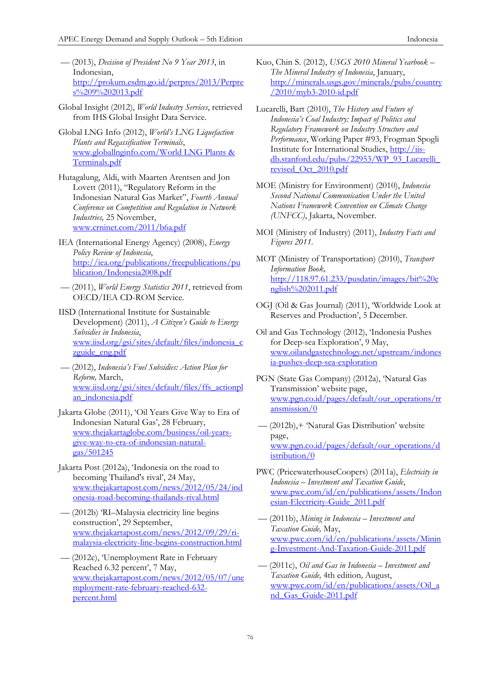- –– (2013), *Decision of President No 9 Year 2013*, in Indonesian, [http://prokum.esdm.go.id/perpres/2013/Perpre](http://prokum.esdm.go.id/perpres/2013/Perpres%209%202013.pdf) [s%209%202013.pdf](http://prokum.esdm.go.id/perpres/2013/Perpres%209%202013.pdf)
- Global Insight (2012), *World Industry Services*, retrieved from IHS Global Insight Data Service.
- Global LNG Info (2012), *World's LNG Liquefaction Plants and Regassification Terminals*, [www.globallnginfo.com/World LNG Plants &](http://www.globallnginfo.com/World%20LNG%20Plants%20&%20Terminals.pdf)  [Terminals.pdf](http://www.globallnginfo.com/World%20LNG%20Plants%20&%20Terminals.pdf)
- Hutagalung, Aldi, with Maarten Arentsen and Jon Lovett (2011), "Regulatory Reform in the Indonesian Natural Gas Market", *Fourth Annual Conference on Competition and Regulation in Network Industries,* 25 November, [www.crninet.com/2011/b6a.pdf](http://www.crninet.com/2011/b6a.pdf)
- IEA (International Energy Agency) (2008), *Energy Policy Review of Indonesia*, [http://iea.org/publications/freepublications/pu](http://iea.org/publications/freepublications/publication/Indonesia2008.pdf) [blication/Indonesia2008.pdf](http://iea.org/publications/freepublications/publication/Indonesia2008.pdf)
- –– (2011), *World Energy Statistics 2011*, retrieved from OECD/IEA CD-ROM Service.
- IISD (International Institute for Sustainable Development) (2011), *A Citizen's Guide to Energy Subsidies in Indonesia*, [www.iisd.org/gsi/sites/default/files/indonesia\\_c](http://www.iisd.org/gsi/sites/default/files/indonesia_czguide_eng.pdf) [zguide\\_eng.pdf](http://www.iisd.org/gsi/sites/default/files/indonesia_czguide_eng.pdf)
- –– (2012), *Indonesia's Fuel Subsidies: Action Plan for Reform,* March, [www.iisd.org/gsi/sites/default/files/ffs\\_actionpl](http://www.iisd.org/gsi/sites/default/files/ffs_actionplan_indonesia.pdf) [an\\_indonesia.pdf](http://www.iisd.org/gsi/sites/default/files/ffs_actionplan_indonesia.pdf)
- Jakarta Globe (2011), 'Oil Years Give Way to Era of Indonesian Natural Gas', 28 February, [www.thejakartaglobe.com/business/oil-years](http://www.thejakartaglobe.com/business/oil-years-give-way-to-era-of-indonesian-natural-gas/501245)[give-way-to-era-of-indonesian-natural](http://www.thejakartaglobe.com/business/oil-years-give-way-to-era-of-indonesian-natural-gas/501245)[gas/501245](http://www.thejakartaglobe.com/business/oil-years-give-way-to-era-of-indonesian-natural-gas/501245)
- Jakarta Post (2012a), 'Indonesia on the road to becoming Thailand's rival', 24 May, [www.thejakartapost.com/news/2012/05/24/ind](http://www.thejakartapost.com/news/2012/05/24/indonesia-road-becoming-thailands-rival.html) [onesia-road-becoming-thailands-rival.html](http://www.thejakartapost.com/news/2012/05/24/indonesia-road-becoming-thailands-rival.html)
- –– (2012b) 'RI–Malaysia electricity line begins construction', 29 September, [www.thejakartapost.com/news/2012/09/29/ri](http://www.thejakartapost.com/news/2012/09/29/ri-malaysia-electricity-line-begins-construction.html)[malaysia-electricity-line-begins-construction.html](http://www.thejakartapost.com/news/2012/09/29/ri-malaysia-electricity-line-begins-construction.html)
- –– (2012c), 'Unemployment Rate in February Reached 6.32 percent', 7 May, [www.thejakartapost.com/news/2012/05/07/une](http://www.thejakartapost.com/news/2012/05/07/unemployment-rate-february-reached-632-percent.html) [mployment-rate-february-reached-632](http://www.thejakartapost.com/news/2012/05/07/unemployment-rate-february-reached-632-percent.html) [percent.html](http://www.thejakartapost.com/news/2012/05/07/unemployment-rate-february-reached-632-percent.html)
- Kuo, Chin S. (2012), *USGS 2010 Mineral Yearbook The Mineral Industry of Indonesia*, January, [http://minerals.usgs.gov/minerals/pubs/country](http://minerals.usgs.gov/minerals/pubs/country/2010/myb3-2010-id.pdf) [/2010/myb3-2010-id.pdf](http://minerals.usgs.gov/minerals/pubs/country/2010/myb3-2010-id.pdf)
- Lucarelli, Bart (2010), *The History and Future of Indonesia's Coal Industry: Impact of Politics and Regulatory Framework on Industry Structure and Performance*, Working Paper #93, Frogman Spogli Institute for International Studies, [http://iis](http://iis-db.stanford.edu/pubs/22953/WP_93_Lucarelli_revised_Oct_2010.pdf)[db.stanford.edu/pubs/22953/WP\\_93\\_Lucarelli\\_](http://iis-db.stanford.edu/pubs/22953/WP_93_Lucarelli_revised_Oct_2010.pdf) [revised\\_Oct\\_2010.pdf](http://iis-db.stanford.edu/pubs/22953/WP_93_Lucarelli_revised_Oct_2010.pdf)
- MOE (Ministry for Environment) (2010), *Indonesia Second National Communication Under the United Nations Framework Convention on Climate Change (UNFCC)*, Jakarta, November.
- MOI (Ministry of Industry) (2011), *Industry Facts and Figures 2011.*
- MOT (Ministry of Transportation) (2010), *Transport Information Book,*  [http://118.97.61.233/pusdatin/images/bit%20e](http://118.97.61.233/pusdatin/images/bit%20english%202011.pdf) [nglish%202011.pdf](http://118.97.61.233/pusdatin/images/bit%20english%202011.pdf)
- OGJ (Oil & Gas Journal) (2011), 'Worldwide Look at Reserves and Production', 5 December.
- Oil and Gas Technology (2012), 'Indonesia Pushes for Deep-sea Exploration', 9 May, [www.oilandgastechnology.net/upstream/indones](http://www.oilandgastechnology.net/upstream/indonesia-pushes-deep-sea-exploration) [ia-pushes-deep-sea-exploration](http://www.oilandgastechnology.net/upstream/indonesia-pushes-deep-sea-exploration)
- PGN (State Gas Company) (2012a), 'Natural Gas Transmission' website page, [www.pgn.co.id/pages/default/our\\_operations/tr](http://www.pgn.co.id/pages/default/our_operations/transmission/0) [ansmission/0](http://www.pgn.co.id/pages/default/our_operations/transmission/0)
- –– (2012b),+ 'Natural Gas Distribution' website page, [www.pgn.co.id/pages/default/our\\_operations/d](http://www.pgn.co.id/pages/default/our_operations/distribution/0) [istribution/0](http://www.pgn.co.id/pages/default/our_operations/distribution/0)
- PWC (PricewaterhouseCoopers) (2011a), *Electricity in Indonesia – Investment and Taxation Guide*, [www.pwc.com/id/en/publications/assets/Indon](http://www.pwc.com/id/en/publications/assets/Indonesian-Electricity-Guide_2011.pdf) [esian-Electricity-Guide\\_2011.pdf](http://www.pwc.com/id/en/publications/assets/Indonesian-Electricity-Guide_2011.pdf)
- –– (2011b), *Mining in Indonesia – Investment and Taxation Guide,* May, [www.pwc.com/id/en/publications/assets/Minin](http://www.pwc.com/id/en/publications/assets/Mining-Investment-And-Taxation-Guide-2011.pdf) [g-Investment-And-Taxation-Guide-2011.pdf](http://www.pwc.com/id/en/publications/assets/Mining-Investment-And-Taxation-Guide-2011.pdf)
- –– (2011c), *Oil and Gas in Indonesia – Investment and Taxation Guide,* 4th edition*,* August, [www.pwc.com/id/en/publications/assets/Oil\\_a](http://www.pwc.com/id/en/publications/assets/Oil_and_Gas_Guide-2011.pdf) [nd\\_Gas\\_Guide-2011.pdf](http://www.pwc.com/id/en/publications/assets/Oil_and_Gas_Guide-2011.pdf)